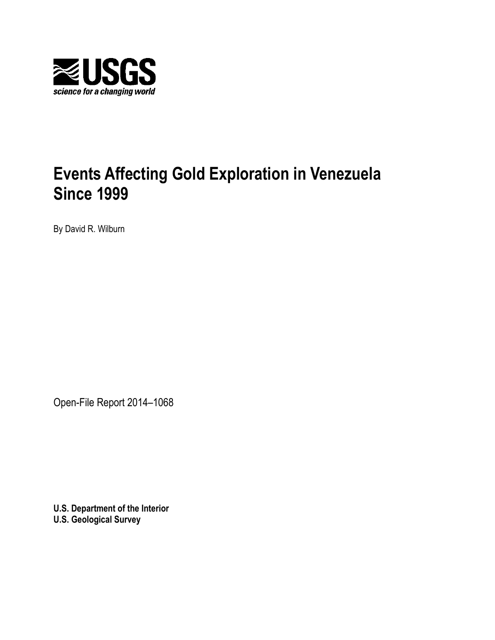

# **Events Affecting Gold Exploration in Venezuela Since 1999**

By David R. Wilburn

Open-File Report 2014–1068

**U.S. Department of the Interior U.S. Geological Survey**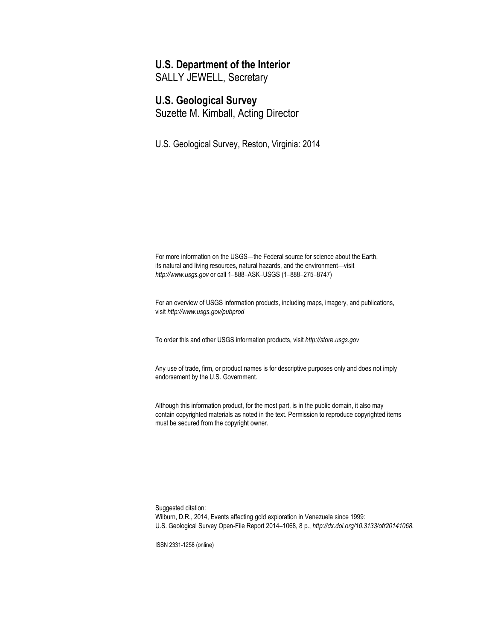#### **U.S. Department of the Interior**

SALLY JEWELL, Secretary

#### **U.S. Geological Survey**

Suzette M. Kimball, Acting Director

U.S. Geological Survey, Reston, Virginia: 2014

For more information on the USGS—the Federal source for science about the Earth, its natural and living resources, natural hazards, and the environment—visit *[http://www.usgs.gov](http://www.usgs.gov/)* or call 1–888–ASK–USGS (1–888–275–8747)

For an overview of USGS information products, including maps, imagery, and publications, visit *<http://www.usgs.gov/pubprod>*

To order this and other USGS information products, visit *[http://store.usgs.gov](http://store.usgs.gov/)*

Any use of trade, firm, or product names is for descriptive purposes only and does not imply endorsement by the U.S. Government.

Although this information product, for the most part, is in the public domain, it also may contain copyrighted materials as noted in the text. Permission to reproduce copyrighted items must be secured from the copyright owner.

Suggested citation: Wilburn, D.R., 2014, Events affecting gold exploration in Venezuela since 1999: U.S. Geological Survey Open-File Report 2014–1068, 8 p., *http://dx.doi.org/10.3133/ofr20141068*.

ISSN 2331-1258 (online)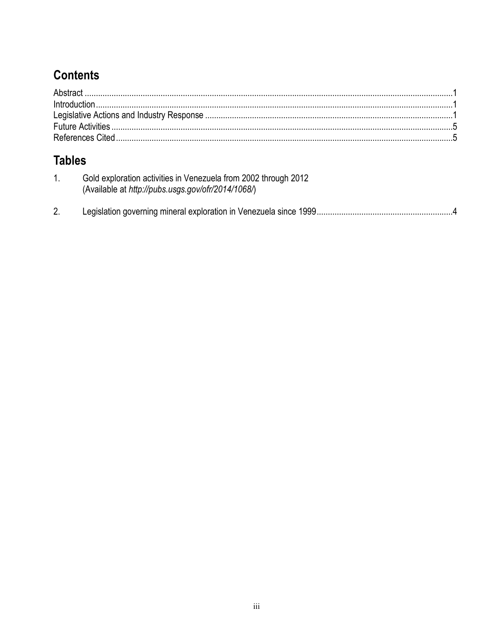## **Contents**

## **Tables**

| 1. | Gold exploration activities in Venezuela from 2002 through 2012 |
|----|-----------------------------------------------------------------|
|    | (Available at http://pubs.usgs.gov/ofr/2014/1068/)              |

```
2.
```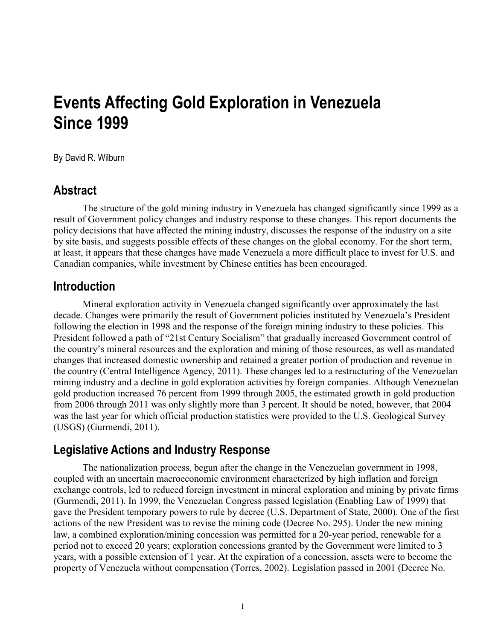# **Events Affecting Gold Exploration in Venezuela Since 1999**

By David R. Wilburn

#### **Abstract**

The structure of the gold mining industry in Venezuela has changed significantly since 1999 as a result of Government policy changes and industry response to these changes. This report documents the policy decisions that have affected the mining industry, discusses the response of the industry on a site by site basis, and suggests possible effects of these changes on the global economy. For the short term, at least, it appears that these changes have made Venezuela a more difficult place to invest for U.S. and Canadian companies, while investment by Chinese entities has been encouraged.

#### **Introduction**

Mineral exploration activity in Venezuela changed significantly over approximately the last decade. Changes were primarily the result of Government policies instituted by Venezuela's President following the election in 1998 and the response of the foreign mining industry to these policies. This President followed a path of "21st Century Socialism" that gradually increased Government control of the country's mineral resources and the exploration and mining of those resources, as well as mandated changes that increased domestic ownership and retained a greater portion of production and revenue in the country (Central Intelligence Agency, 2011). These changes led to a restructuring of the Venezuelan mining industry and a decline in gold exploration activities by foreign companies. Although Venezuelan gold production increased 76 percent from 1999 through 2005, the estimated growth in gold production from 2006 through 2011 was only slightly more than 3 percent. It should be noted, however, that 2004 was the last year for which official production statistics were provided to the U.S. Geological Survey (USGS) (Gurmendi, 2011).

### **Legislative Actions and Industry Response**

The nationalization process, begun after the change in the Venezuelan government in 1998, coupled with an uncertain macroeconomic environment characterized by high inflation and foreign exchange controls, led to reduced foreign investment in mineral exploration and mining by private firms (Gurmendi, 2011). In 1999, the Venezuelan Congress passed legislation (Enabling Law of 1999) that gave the President temporary powers to rule by decree (U.S. Department of State, 2000). One of the first actions of the new President was to revise the mining code (Decree No. 295). Under the new mining law, a combined exploration/mining concession was permitted for a 20-year period, renewable for a period not to exceed 20 years; exploration concessions granted by the Government were limited to 3 years, with a possible extension of 1 year. At the expiration of a concession, assets were to become the property of Venezuela without compensation (Torres, 2002). Legislation passed in 2001 (Decree No.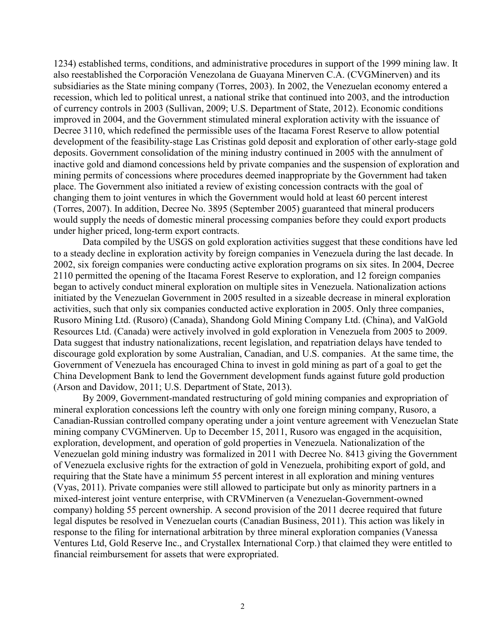1234) established terms, conditions, and administrative procedures in support of the 1999 mining law. It also reestablished the Corporación Venezolana de Guayana Minerven C.A. (CVGMinerven) and its subsidiaries as the State mining company (Torres, 2003). In 2002, the Venezuelan economy entered a recession, which led to political unrest, a national strike that continued into 2003, and the introduction of currency controls in 2003 (Sullivan, 2009; U.S. Department of State, 2012). Economic conditions improved in 2004, and the Government stimulated mineral exploration activity with the issuance of Decree 3110, which redefined the permissible uses of the Itacama Forest Reserve to allow potential development of the feasibility-stage Las Cristinas gold deposit and exploration of other early-stage gold deposits. Government consolidation of the mining industry continued in 2005 with the annulment of inactive gold and diamond concessions held by private companies and the suspension of exploration and mining permits of concessions where procedures deemed inappropriate by the Government had taken place. The Government also initiated a review of existing concession contracts with the goal of changing them to joint ventures in which the Government would hold at least 60 percent interest (Torres, 2007). In addition, Decree No. 3895 (September 2005) guaranteed that mineral producers would supply the needs of domestic mineral processing companies before they could export products under higher priced, long-term export contracts.

Data compiled by the USGS on gold exploration activities suggest that these conditions have led to a steady decline in exploration activity by foreign companies in Venezuela during the last decade. In 2002, six foreign companies were conducting active exploration programs on six sites. In 2004, Decree 2110 permitted the opening of the Itacama Forest Reserve to exploration, and 12 foreign companies began to actively conduct mineral exploration on multiple sites in Venezuela. Nationalization actions initiated by the Venezuelan Government in 2005 resulted in a sizeable decrease in mineral exploration activities, such that only six companies conducted active exploration in 2005. Only three companies, Rusoro Mining Ltd. (Rusoro) (Canada), Shandong Gold Mining Company Ltd. (China), and ValGold Resources Ltd. (Canada) were actively involved in gold exploration in Venezuela from 2005 to 2009. Data suggest that industry nationalizations, recent legislation, and repatriation delays have tended to discourage gold exploration by some Australian, Canadian, and U.S. companies. At the same time, the Government of Venezuela has encouraged China to invest in gold mining as part of a goal to get the China Development Bank to lend the Government development funds against future gold production (Arson and Davidow, 2011; U.S. Department of State, 2013).

By 2009, Government-mandated restructuring of gold mining companies and expropriation of mineral exploration concessions left the country with only one foreign mining company, Rusoro, a Canadian-Russian controlled company operating under a joint venture agreement with Venezuelan State mining company CVGMinerven. Up to December 15, 2011, Rusoro was engaged in the acquisition, exploration, development, and operation of gold properties in Venezuela. Nationalization of the Venezuelan gold mining industry was formalized in 2011 with Decree No. 8413 giving the Government of Venezuela exclusive rights for the extraction of gold in Venezuela, prohibiting export of gold, and requiring that the State have a minimum 55 percent interest in all exploration and mining ventures (Vyas, 2011). Private companies were still allowed to participate but only as minority partners in a mixed-interest joint venture enterprise, with CRVMinerven (a Venezuelan-Government-owned company) holding 55 percent ownership. A second provision of the 2011 decree required that future legal disputes be resolved in Venezuelan courts (Canadian Business, 2011). This action was likely in response to the filing for international arbitration by three mineral exploration companies (Vanessa Ventures Ltd, Gold Reserve Inc., and Crystallex International Corp.) that claimed they were entitled to financial reimbursement for assets that were expropriated.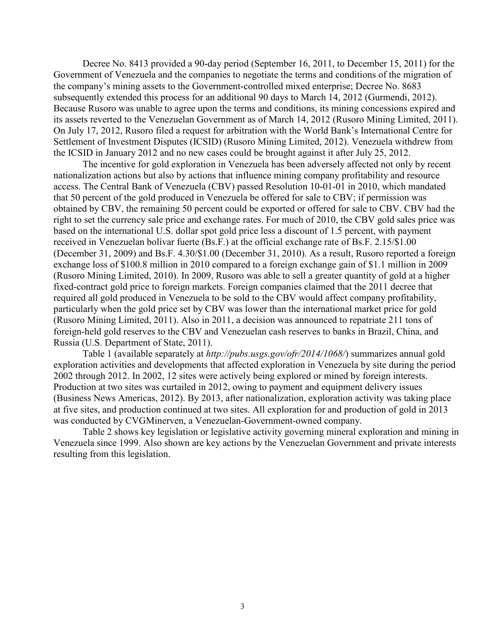Decree No. 8413 provided a 90-day period (September 16, 2011, to December 15, 2011) for the Government of Venezuela and the companies to negotiate the terms and conditions of the migration of the company's mining assets to the Government-controlled mixed enterprise; Decree No. 8683 subsequently extended this process for an additional 90 days to March 14, 2012 (Gurmendi, 2012). Because Rusoro was unable to agree upon the terms and conditions, its mining concessions expired and its assets reverted to the Venezuelan Government as of March 14, 2012 (Rusoro Mining Limited, 2011). On July 17, 2012, Rusoro filed a request for arbitration with the World Bank's International Centre for Settlement of Investment Disputes (ICSID) (Rusoro Mining Limited, 2012). Venezuela withdrew from the ICSID in January 2012 and no new cases could be brought against it after July 25, 2012.

The incentive for gold exploration in Venezuela has been adversely affected not only by recent nationalization actions but also by actions that influence mining company profitability and resource access. The Central Bank of Venezuela (CBV) passed Resolution 10-01-01 in 2010, which mandated that 50 percent of the gold produced in Venezuela be offered for sale to CBV; if permission was obtained by CBV, the remaining 50 percent could be exported or offered for sale to CBV. CBV had the right to set the currency sale price and exchange rates. For much of 2010, the CBV gold sales price was based on the international U.S. dollar spot gold price less a discount of 1.5 percent, with payment received in Venezuelan bolívar fuerte (Bs.F.) at the official exchange rate of Bs.F. 2.15/\$1.00 (December 31, 2009) and Bs.F. 4.30/\$1.00 (December 31, 2010). As a result, Rusoro reported a foreign exchange loss of \$100.8 million in 2010 compared to a foreign exchange gain of \$1.1 million in 2009 (Rusoro Mining Limited, 2010). In 2009, Rusoro was able to sell a greater quantity of gold at a higher fixed-contract gold price to foreign markets. Foreign companies claimed that the 2011 decree that required all gold produced in Venezuela to be sold to the CBV would affect company profitability, particularly when the gold price set by CBV was lower than the international market price for gold (Rusoro Mining Limited, 2011). Also in 2011, a decision was announced to repatriate 211 tons of foreign-held gold reserves to the CBV and Venezuelan cash reserves to banks in Brazil, China, and Russia (U.S. Department of State, 2011).

Table 1 (available separately at *<http://pubs.usgs.gov/ofr/2014/1068/>*) summarizes annual gold exploration activities and developments that affected exploration in Venezuela by site during the period 2002 through 2012. In 2002, 12 sites were actively being explored or mined by foreign interests. Production at two sites was curtailed in 2012, owing to payment and equipment delivery issues (Business News Americas, 2012). By 2013, after nationalization, exploration activity was taking place at five sites, and production continued at two sites. All exploration for and production of gold in 2013 was conducted by CVGMinerven, a Venezuelan-Government-owned company.

<span id="page-6-0"></span>Table 2 shows key legislation or legislative activity governing mineral exploration and mining in Venezuela since 1999. Also shown are key actions by the Venezuelan Government and private interests resulting from this legislation.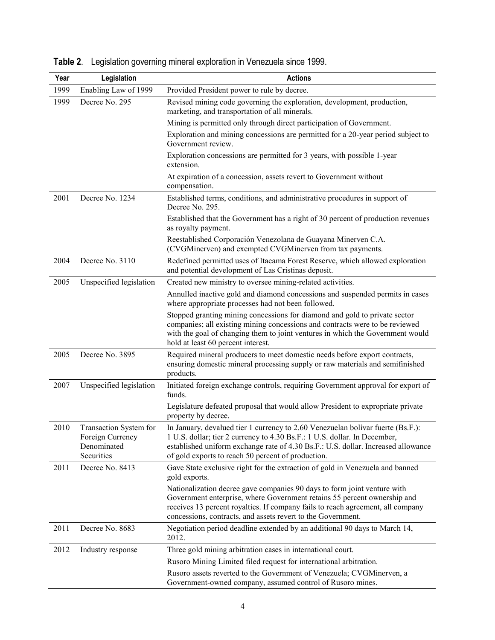| Year | Legislation                                       | <b>Actions</b>                                                                                                                                                                                                                                                                                          |
|------|---------------------------------------------------|---------------------------------------------------------------------------------------------------------------------------------------------------------------------------------------------------------------------------------------------------------------------------------------------------------|
| 1999 | Enabling Law of 1999                              | Provided President power to rule by decree.                                                                                                                                                                                                                                                             |
| 1999 | Decree No. 295                                    | Revised mining code governing the exploration, development, production,<br>marketing, and transportation of all minerals.                                                                                                                                                                               |
|      |                                                   | Mining is permitted only through direct participation of Government.                                                                                                                                                                                                                                    |
|      |                                                   | Exploration and mining concessions are permitted for a 20-year period subject to<br>Government review.                                                                                                                                                                                                  |
|      |                                                   | Exploration concessions are permitted for 3 years, with possible 1-year<br>extension.                                                                                                                                                                                                                   |
|      |                                                   | At expiration of a concession, assets revert to Government without<br>compensation.                                                                                                                                                                                                                     |
| 2001 | Decree No. 1234                                   | Established terms, conditions, and administrative procedures in support of<br>Decree No. 295.                                                                                                                                                                                                           |
|      |                                                   | Established that the Government has a right of 30 percent of production revenues<br>as royalty payment.                                                                                                                                                                                                 |
|      |                                                   | Reestablished Corporación Venezolana de Guayana Minerven C.A.<br>(CVGMinerven) and exempted CVGMinerven from tax payments.                                                                                                                                                                              |
| 2004 | Decree No. 3110                                   | Redefined permitted uses of Itacama Forest Reserve, which allowed exploration<br>and potential development of Las Cristinas deposit.                                                                                                                                                                    |
| 2005 | Unspecified legislation                           | Created new ministry to oversee mining-related activities.                                                                                                                                                                                                                                              |
|      |                                                   | Annulled inactive gold and diamond concessions and suspended permits in cases<br>where appropriate processes had not been followed.                                                                                                                                                                     |
|      |                                                   | Stopped granting mining concessions for diamond and gold to private sector<br>companies; all existing mining concessions and contracts were to be reviewed<br>with the goal of changing them to joint ventures in which the Government would<br>hold at least 60 percent interest.                      |
| 2005 | Decree No. 3895                                   | Required mineral producers to meet domestic needs before export contracts,<br>ensuring domestic mineral processing supply or raw materials and semifinished<br>products.                                                                                                                                |
| 2007 | Unspecified legislation                           | Initiated foreign exchange controls, requiring Government approval for export of<br>funds.                                                                                                                                                                                                              |
|      |                                                   | Legislature defeated proposal that would allow President to expropriate private<br>property by decree.                                                                                                                                                                                                  |
| 2010 | <b>Transaction System for</b><br>Foreign Currency | In January, devalued tier 1 currency to 2.60 Venezuelan bolívar fuerte (Bs.F.):<br>1 U.S. dollar; tier 2 currency to 4.30 Bs.F.: 1 U.S. dollar. In December,                                                                                                                                            |
|      | Denominated                                       | established uniform exchange rate of 4.30 Bs.F.: U.S. dollar. Increased allowance                                                                                                                                                                                                                       |
|      | Securities                                        | of gold exports to reach 50 percent of production.                                                                                                                                                                                                                                                      |
| 2011 | Decree No. 8413                                   | Gave State exclusive right for the extraction of gold in Venezuela and banned<br>gold exports.                                                                                                                                                                                                          |
|      |                                                   | Nationalization decree gave companies 90 days to form joint venture with<br>Government enterprise, where Government retains 55 percent ownership and<br>receives 13 percent royalties. If company fails to reach agreement, all company<br>concessions, contracts, and assets revert to the Government. |
| 2011 | Decree No. 8683                                   | Negotiation period deadline extended by an additional 90 days to March 14,<br>2012.                                                                                                                                                                                                                     |
| 2012 | Industry response                                 | Three gold mining arbitration cases in international court.                                                                                                                                                                                                                                             |
|      |                                                   | Rusoro Mining Limited filed request for international arbitration.                                                                                                                                                                                                                                      |
|      |                                                   | Rusoro assets reverted to the Government of Venezuela; CVGMinerven, a<br>Government-owned company, assumed control of Rusoro mines.                                                                                                                                                                     |

**Table 2**. Legislation governing mineral exploration in Venezuela since 1999.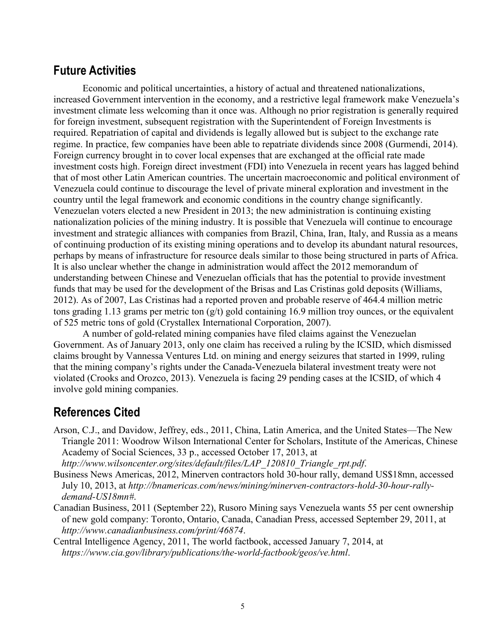### **Future Activities**

Economic and political uncertainties, a history of actual and threatened nationalizations, increased Government intervention in the economy, and a restrictive legal framework make Venezuela's investment climate less welcoming than it once was. Although no prior registration is generally required for foreign investment, subsequent registration with the Superintendent of Foreign Investments is required. Repatriation of capital and dividends is legally allowed but is subject to the exchange rate regime. In practice, few companies have been able to repatriate dividends since 2008 (Gurmendi, 2014). Foreign currency brought in to cover local expenses that are exchanged at the official rate made investment costs high. Foreign direct investment (FDI) into Venezuela in recent years has lagged behind that of most other Latin American countries. The uncertain macroeconomic and political environment of Venezuela could continue to discourage the level of private mineral exploration and investment in the country until the legal framework and economic conditions in the country change significantly. Venezuelan voters elected a new President in 2013; the new administration is continuing existing nationalization policies of the mining industry. It is possible that Venezuela will continue to encourage investment and strategic alliances with companies from Brazil, China, Iran, Italy, and Russia as a means of continuing production of its existing mining operations and to develop its abundant natural resources, perhaps by means of infrastructure for resource deals similar to those being structured in parts of Africa. It is also unclear whether the change in administration would affect the 2012 memorandum of understanding between Chinese and Venezuelan officials that has the potential to provide investment funds that may be used for the development of the Brisas and Las Cristinas gold deposits (Williams, 2012). As of 2007, Las Cristinas had a reported proven and probable reserve of 464.4 million metric tons grading 1.13 grams per metric ton  $(g/t)$  gold containing 16.9 million troy ounces, or the equivalent of 525 metric tons of gold (Crystallex International Corporation, 2007).

A number of gold-related mining companies have filed claims against the Venezuelan Government. As of January 2013, only one claim has received a ruling by the ICSID, which dismissed claims brought by Vannessa Ventures Ltd. on mining and energy seizures that started in 1999, ruling that the mining company's rights under the Canada-Venezuela bilateral investment treaty were not violated (Crooks and Orozco, 2013). Venezuela is facing 29 pending cases at the ICSID, of which 4 involve gold mining companies.

### **References Cited**

Arson, C.J., and Davidow, Jeffrey, eds., 2011, China, Latin America, and the United States—The New Triangle 2011: Woodrow Wilson International Center for Scholars, Institute of the Americas, Chinese Academy of Social Sciences, 33 p., accessed October 17, 2013, at

*[http://www.wilsoncenter.org/sites/default/files/LAP\\_120810\\_Triangle\\_rpt.pdf](http://www.wilsoncenter.org/sites/default/files/LAP_120810_Triangle_rpt.pdf)*.

- Business News Americas, 2012, Minerven contractors hold 30-hour rally, demand US\$18mn, accessed July 10, 2013, at *[http://bnamericas.com/news/mining/minerven-contractors-hold-30-hour-rally](http://bnamericas.com/news/mining/minerven-contractors-hold-30-hour-rally-demand-US18mn)[demand-US18mn#](http://bnamericas.com/news/mining/minerven-contractors-hold-30-hour-rally-demand-US18mn)*.
- Canadian Business, 2011 (September 22), Rusoro Mining says Venezuela wants 55 per cent ownership of new gold company: Toronto, Ontario, Canada, Canadian Press, accessed September 29, 2011, at *<http://www.canadianbusiness.com/print/46874>*.

Central Intelligence Agency, 2011, The world factbook, accessed January 7, 2014, at *<https://www.cia.gov/library/publications/the-world-factbook/geos/ve.html>*.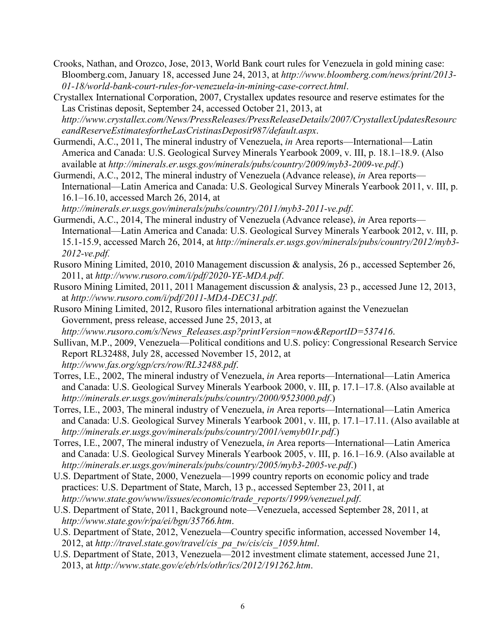- Crooks, Nathan, and Orozco, Jose, 2013, World Bank court rules for Venezuela in gold mining case: Bloomberg.com, January 18, accessed June 24, 2013, at *[http://www.bloomberg.com/news/print/2013-](http://www.bloomberg.com/news/print/2013-01-18/world-bank-court-rules-for-venezuela-in-mining-case-correct.html) [01-18/world-bank-court-rules-for-venezuela-in-mining-case-correct.html](http://www.bloomberg.com/news/print/2013-01-18/world-bank-court-rules-for-venezuela-in-mining-case-correct.html)*.
- Crystallex International Corporation, 2007, Crystallex updates resource and reserve estimates for the Las Cristinas deposit, September 24, accessed October 21, 2013, at *[http://www.crystallex.com/News/PressReleases/PressReleaseDetails/2007/CrystallexUpdatesResourc](http://www.crystallex.com/News/PressReleases/PressReleaseDetails/2007/CrystallexUpdatesResourceandReserveEstimatesfortheLasCristinasDeposit987/default.aspx) [eandReserveEstimatesfortheLasCristinasDeposit987/default.aspx](http://www.crystallex.com/News/PressReleases/PressReleaseDetails/2007/CrystallexUpdatesResourceandReserveEstimatesfortheLasCristinasDeposit987/default.aspx)*.
- Gurmendi, A.C., 2011, The mineral industry of Venezuela, *in* Area reports—International—Latin America and Canada: U.S. Geological Survey Minerals Yearbook 2009, v. III, p. 18.1–18.9. (Also available at *<http://minerals.er.usgs.gov/minerals/pubs/country/2009/myb3-2009-ve.pdf>*.)
- Gurmendi, A.C., 2012, The mineral industry of Venezuela (Advance release), *in* Area reports— International—Latin America and Canada: U.S. Geological Survey Minerals Yearbook 2011, v. III, p. 16.1–16.10, accessed March 26, 2014, at *<http://minerals.er.usgs.gov/minerals/pubs/country/2011/myb3-2011-ve.pdf>*.
- Gurmendi, A.C., 2014, The mineral industry of Venezuela (Advance release), *in* Area reports— International—Latin America and Canada: U.S. Geological Survey Minerals Yearbook 2012, v. III, p. 15.1-15.9, accessed March 26, 2014, at *http://minerals.er.usgs.gov/minerals/pubs/country/2012/myb3- 2012-ve.pdf.*
- Rusoro Mining Limited, 2010, 2010 Management discussion & analysis, 26 p., accessed September 26, 2011, at *<http://www.rusoro.com/i/pdf/2020-YE-MDA.pdf>*.
- Rusoro Mining Limited, 2011, 2011 Management discussion & analysis, 23 p., accessed June 12, 2013, at *<http://www.rusoro.com/i/pdf/2011-MDA-DEC31.pdf>*.
- Rusoro Mining Limited, 2012, Rusoro files international arbitration against the Venezuelan Government, press release, accessed June 25, 2013, at

*[http://www.rusoro.com/s/News\\_Releases.asp?printVersion=now&ReportID=537416](http://www.rusoro.com/s/News_Releases.asp?printVersion=now&ReportID=537416)*. Sullivan, M.P., 2009, Venezuela—Political conditions and U.S. policy: Congressional Research Service Report RL32488, July 28, accessed November 15, 2012, at *<http://www.fas.org/sgp/crs/row/RL32488.pdf>*.

- Torres, I.E., 2002, The mineral industry of Venezuela, *in* Area reports—International—Latin America and Canada: U.S. Geological Survey Minerals Yearbook 2000, v. III, p. 17.1–17.8. (Also available at *<http://minerals.er.usgs.gov/minerals/pubs/country/2000/9523000.pdf>*.)
- Torres, I.E., 2003, The mineral industry of Venezuela, *in* Area reports—International—Latin America and Canada: U.S. Geological Survey Minerals Yearbook 2001, v. III, p. 17.1–17.11. (Also available at *<http://minerals.er.usgs.gov/minerals/pubs/country/2001/vemyb01r.pdf>*.)
- Torres, I.E., 2007, The mineral industry of Venezuela, *in* Area reports—International—Latin America and Canada: U.S. Geological Survey Minerals Yearbook 2005, v. III, p. 16.1–16.9. (Also available at *<http://minerals.er.usgs.gov/minerals/pubs/country/2005/myb3-2005-ve.pdf>*.)
- U.S. Department of State, 2000, Venezuela—1999 country reports on economic policy and trade practices: U.S. Department of State, March, 13 p., accessed September 23, 2011, at *[http://www.state.gov/www/issues/economic/trade\\_reports/1999/venezuel.pdf](http://www.state.gov/www/issues/economic/trade_reports/1999/venezuel.pdf)*.
- U.S. Department of State, 2011, Background note—Venezuela, accessed September 28, 2011, at *<http://www.state.gov/r/pa/ei/bgn/35766.htm>*.
- U.S. Department of State, 2012, Venezuela—Country specific information, accessed November 14, 2012, at *[http://travel.state.gov/travel/cis\\_pa\\_tw/cis/cis\\_1059.html](http://travel.state.gov/travel/cis_pa_tw/cis/cis_1059.html)*.
- U.S. Department of State, 2013, Venezuela—2012 investment climate statement, accessed June 21, 2013, at *<http://www.state.gov/e/eb/rls/othr/ics/2012/191262.htm>*.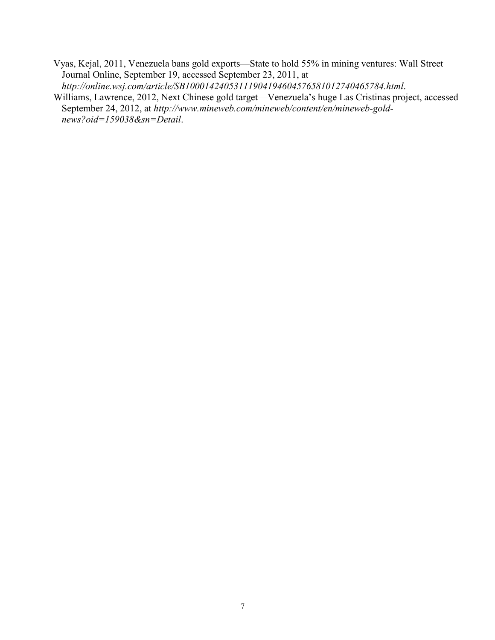- Vyas, Kejal, 2011, Venezuela bans gold exports—State to hold 55% in mining ventures: Wall Street Journal Online, September 19, accessed September 23, 2011, at *<http://online.wsj.com/article/SB10001424053111904194604576581012740465784.html>*.
- Williams, Lawrence, 2012, Next Chinese gold target—Venezuela's huge Las Cristinas project, accessed September 24, 2012, at *[http://www.mineweb.com/mineweb/content/en/mineweb-gold](http://www.mineweb.com/mineweb/content/en/mineweb-gold-news?oid=159038&sn=Detail)[news?oid=159038&sn=Detail](http://www.mineweb.com/mineweb/content/en/mineweb-gold-news?oid=159038&sn=Detail)*.